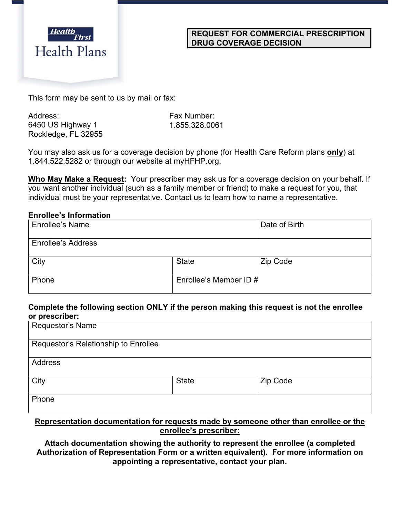

#### **REQUEST FOR COMMERCIAL PRESCRIPTION DRUG COVERAGE DECISION**

This form may be sent to us by mail or fax:

Address: 6450 US Highway 1 Rockledge, FL 32955 Fax Number: 1.855.328.0061

You may also ask us for a coverage decision by phone (for Health Care Reform plans **only**) at 1.844.522.5282 or through our website at myHFHP.org.

**Who May Make a Request:** Your prescriber may ask us for a coverage decision on your behalf. If you want another individual (such as a family member or friend) to make a request for you, that individual must be your representative. Contact us to learn how to name a representative.

#### **Enrollee's Information**

| Enrollee's Name           |                        | Date of Birth |
|---------------------------|------------------------|---------------|
| <b>Enrollee's Address</b> |                        |               |
| City                      | <b>State</b>           | Zip Code      |
| Phone                     | Enrollee's Member ID # |               |

### **Complete the following section ONLY if the person making this request is not the enrollee or prescriber:**

| Requestor's Name                     |              |          |
|--------------------------------------|--------------|----------|
| Requestor's Relationship to Enrollee |              |          |
| <b>Address</b>                       |              |          |
| City                                 | <b>State</b> | Zip Code |
| Phone                                |              |          |

### **Representation documentation for requests made by someone other than enrollee or the enrollee's prescriber:**

**Attach documentation showing the authority to represent the enrollee (a completed Authorization of Representation Form or a written equivalent). For more information on appointing a representative, contact your plan.**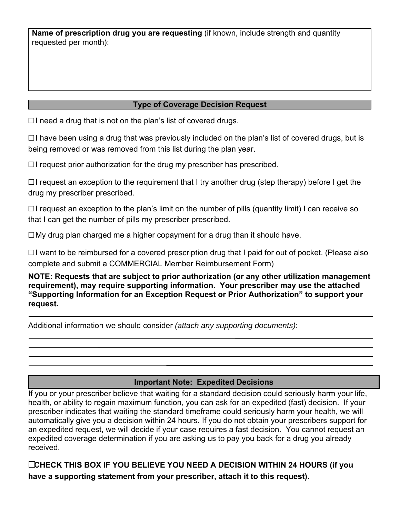**Name of prescription drug you are requesting** (if known, include strength and quantity requested per month):

# **Type of Coverage Decision Request**

☐ I need a drug that is not on the plan's list of covered drugs.

☐ I have been using a drug that was previously included on the plan's list of covered drugs, but is being removed or was removed from this list during the plan year.

☐ I request prior authorization for the drug my prescriber has prescribed.

☐ I request an exception to the requirement that I try another drug (step therapy) before I get the drug my prescriber prescribed.

☐ I request an exception to the plan's limit on the number of pills (quantity limit) I can receive so that I can get the number of pills my prescriber prescribed.

☐ My drug plan charged me a higher copayment for a drug than it should have.

☐ I want to be reimbursed for a covered prescription drug that I paid for out of pocket. (Please also complete and submit a COMMERCIAL Member Reimbursement Form)

**NOTE: Requests that are subject to prior authorization (or any other utilization management requirement), may require supporting information. Your prescriber may use the attached "Supporting Information for an Exception Request or Prior Authorization" to support your request.** 

Additional information we should consider *(attach any supporting documents)*:

# **Important Note: Expedited Decisions**

If you or your prescriber believe that waiting for a standard decision could seriously harm your life, health, or ability to regain maximum function, you can ask for an expedited (fast) decision. If your prescriber indicates that waiting the standard timeframe could seriously harm your health, we will automatically give you a decision within 24 hours. If you do not obtain your prescribers support for an expedited request, we will decide if your case requires a fast decision. You cannot request an expedited coverage determination if you are asking us to pay you back for a drug you already received.

☐**CHECK THIS BOX IF YOU BELIEVE YOU NEED A DECISION WITHIN 24 HOURS (if you have a supporting statement from your prescriber, attach it to this request).**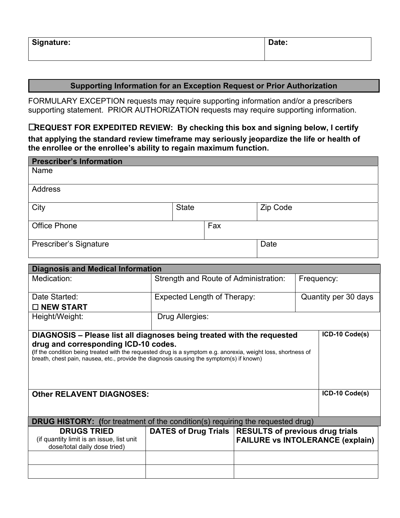| <b>Signature:</b> | Date: |
|-------------------|-------|
|                   |       |

#### **Supporting Information for an Exception Request or Prior Authorization**

FORMULARY EXCEPTION requests may require supporting information and/or a prescribers supporting statement. PRIOR AUTHORIZATION requests may require supporting information.

☐**REQUEST FOR EXPEDITED REVIEW: By checking this box and signing below, I certify that applying the standard review timeframe may seriously jeopardize the life or health of the enrollee or the enrollee's ability to regain maximum function.** 

| <b>Prescriber's Information</b>                                                                                                                                                                                                                                                                                                               |  |                                       |     |                                                                                   |                      |  |                |
|-----------------------------------------------------------------------------------------------------------------------------------------------------------------------------------------------------------------------------------------------------------------------------------------------------------------------------------------------|--|---------------------------------------|-----|-----------------------------------------------------------------------------------|----------------------|--|----------------|
| Name                                                                                                                                                                                                                                                                                                                                          |  |                                       |     |                                                                                   |                      |  |                |
| <b>Address</b>                                                                                                                                                                                                                                                                                                                                |  |                                       |     |                                                                                   |                      |  |                |
| City                                                                                                                                                                                                                                                                                                                                          |  | <b>State</b>                          |     |                                                                                   | Zip Code             |  |                |
| <b>Office Phone</b>                                                                                                                                                                                                                                                                                                                           |  |                                       | Fax |                                                                                   |                      |  |                |
| Prescriber's Signature                                                                                                                                                                                                                                                                                                                        |  |                                       |     |                                                                                   | Date                 |  |                |
| <b>Diagnosis and Medical Information</b>                                                                                                                                                                                                                                                                                                      |  |                                       |     |                                                                                   |                      |  |                |
| Medication:                                                                                                                                                                                                                                                                                                                                   |  | Strength and Route of Administration: |     | Frequency:                                                                        |                      |  |                |
| Date Started:<br>□ NEW START                                                                                                                                                                                                                                                                                                                  |  | <b>Expected Length of Therapy:</b>    |     |                                                                                   | Quantity per 30 days |  |                |
| Height/Weight:                                                                                                                                                                                                                                                                                                                                |  | Drug Allergies:                       |     |                                                                                   |                      |  |                |
| ICD-10 Code(s)<br>DIAGNOSIS - Please list all diagnoses being treated with the requested<br>drug and corresponding ICD-10 codes.<br>(If the condition being treated with the requested drug is a symptom e.g. anorexia, weight loss, shortness of<br>breath, chest pain, nausea, etc., provide the diagnosis causing the symptom(s) if known) |  |                                       |     |                                                                                   |                      |  |                |
| <b>Other RELAVENT DIAGNOSES:</b>                                                                                                                                                                                                                                                                                                              |  |                                       |     |                                                                                   |                      |  | ICD-10 Code(s) |
| <b>DRUG HISTORY:</b> (for treatment of the condition(s) requiring the requested drug)                                                                                                                                                                                                                                                         |  |                                       |     |                                                                                   |                      |  |                |
| <b>DRUGS TRIED</b><br>(if quantity limit is an issue, list unit<br>dose/total daily dose tried)                                                                                                                                                                                                                                               |  | <b>DATES of Drug Trials</b>           |     | <b>RESULTS of previous drug trials</b><br><b>FAILURE vs INTOLERANCE (explain)</b> |                      |  |                |
|                                                                                                                                                                                                                                                                                                                                               |  |                                       |     |                                                                                   |                      |  |                |
|                                                                                                                                                                                                                                                                                                                                               |  |                                       |     |                                                                                   |                      |  |                |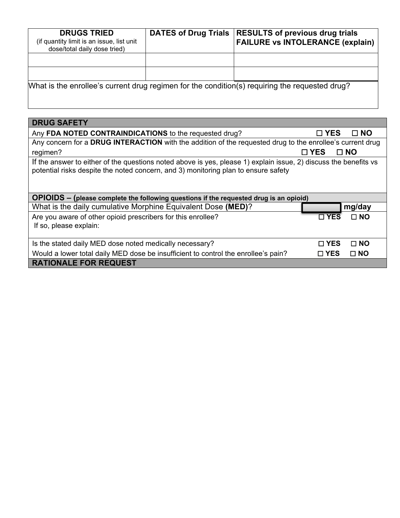| <b>DRUGS TRIED</b><br>(if quantity limit is an issue, list unit<br>dose/total daily dose tried) | <b>DATES of Drug Trials</b> | <b>RESULTS of previous drug trials</b><br><b>FAILURE vs INTOLERANCE (explain)</b>               |
|-------------------------------------------------------------------------------------------------|-----------------------------|-------------------------------------------------------------------------------------------------|
|                                                                                                 |                             |                                                                                                 |
|                                                                                                 |                             |                                                                                                 |
|                                                                                                 |                             | [What is the enrollee's current drug regimen for the condition(s) requiring the requested drug? |

| <b>DRUG SAFETY</b>                                                                                                                                                                                     |               |              |  |  |  |
|--------------------------------------------------------------------------------------------------------------------------------------------------------------------------------------------------------|---------------|--------------|--|--|--|
| Any FDA NOTED CONTRAINDICATIONS to the requested drug?                                                                                                                                                 | $\square$ YES | $\Box$ NO    |  |  |  |
| Any concern for a DRUG INTERACTION with the addition of the requested drug to the enrollee's current drug                                                                                              |               |              |  |  |  |
| regimen?                                                                                                                                                                                               | $\square$ YES | $\square$ NO |  |  |  |
| If the answer to either of the questions noted above is yes, please 1) explain issue, 2) discuss the benefits vs<br>potential risks despite the noted concern, and 3) monitoring plan to ensure safety |               |              |  |  |  |
| OPIOIDS – (please complete the following questions if the requested drug is an opioid)                                                                                                                 |               |              |  |  |  |
| What is the daily cumulative Morphine Equivalent Dose (MED)?                                                                                                                                           |               | mg/day       |  |  |  |
| Are you aware of other opioid prescribers for this enrollee?                                                                                                                                           | $\square$ YES | $\Box$ NO    |  |  |  |
| If so, please explain:                                                                                                                                                                                 |               |              |  |  |  |
| Is the stated daily MED dose noted medically necessary?                                                                                                                                                | $\Box$ YES    | $\Box$ NO    |  |  |  |
| Would a lower total daily MED dose be insufficient to control the enrollee's pain?                                                                                                                     | $\square$ YES | $\square$ NO |  |  |  |
| <b>RATIONALE FOR REQUEST</b>                                                                                                                                                                           |               |              |  |  |  |